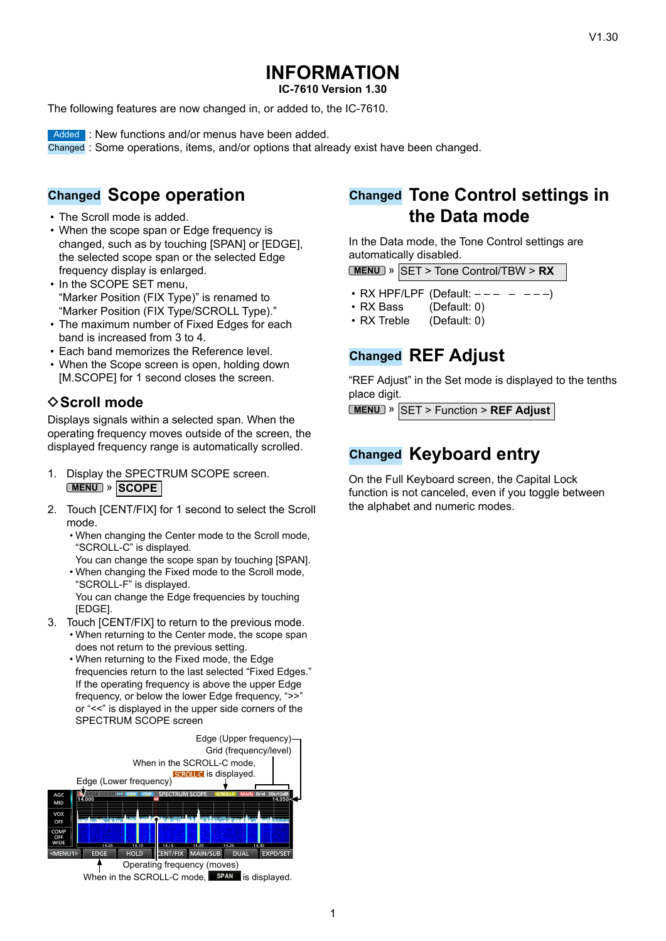# **INFORMATION**

**IC-7610 Version 1.30**

The following features are now changed in, or added to, the IC-7610.

**Added : New functions and/or menus have been added.** 

Changed : Some operations, items, and/or options that already exist have been changed.

### **Changed Scope operation**

- The Scroll mode is added.
- When the scope span or Edge frequency is changed, such as by touching [SPAN] or [EDGE], the selected scope span or the selected Edge frequency display is enlarged.
- In the SCOPE SET menu, "Marker Position (FIX Type)" is renamed to "Marker Position (FIX Type/SCROLL Type)."
- The maximum number of Fixed Edges for each band is increased from 3 to 4.
- Each band memorizes the Reference level.
- When the Scope screen is open, holding down [M.SCOPE] for 1 second closes the screen.

### **◇ Scroll mode**

Displays signals within a selected span. When the operating frequency moves outside of the screen, the displayed frequency range is automatically scrolled.

- 1. Display the SPECTRUM SCOPE screen. **MENU** » **SCOPE**
- 2. Touch [CENT/FIX] for 1 second to select the Scroll mode.
	- When changing the Center mode to the Scroll mode, "SCROLL-C" is displayed.

You can change the scope span by touching [SPAN].

- When changing the Fixed mode to the Scroll mode, "SCROLL-F" is displayed. You can change the Edge frequencies by touching [EDGE].
- 3. Touch [CENT/FIX] to return to the previous mode.
	- When returning to the Center mode, the scope span does not return to the previous setting.
		- When returning to the Fixed mode, the Edge frequencies return to the last selected "Fixed Edges." If the operating frequency is above the upper Edge frequency, or below the lower Edge frequency, ">>" or "<<" is displayed in the upper side corners of the SPECTRUM SCOPE screen



# **Changed Tone Control settings in the Data mode**

In the Data mode, the Tone Control settings are automatically disabled.

```
MENU » SET > Tone Control/TBW > RX
```
- RX HPF/LPF (Default:  $--- -$  – –)
- RX Bass (Default: 0)
- RX Treble (Default: 0)

# **Changed REF Adjust**

"REF Adjust" in the Set mode is displayed to the tenths place digit.

**MENU** » SET > Function > **REF Adjust**

# **Changed Keyboard entry**

On the Full Keyboard screen, the Capital Lock function is not canceled, even if you toggle between the alphabet and numeric modes.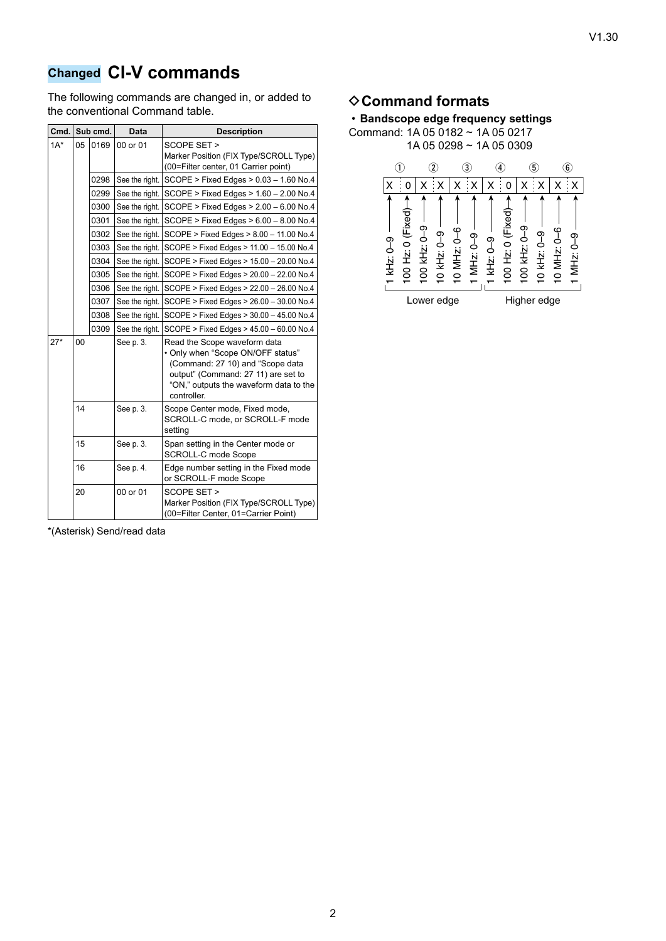# **Changed CI-V commands**

The following commands are changed in, or added to the conventional Command table.

|        | Cmd. Sub cmd. |      | <b>Data</b>    | <b>Description</b>                                                                                                                                                                                    |
|--------|---------------|------|----------------|-------------------------------------------------------------------------------------------------------------------------------------------------------------------------------------------------------|
| $1A^*$ | 0169<br>05    |      | 00 or 01       | SCOPE SET ><br>Marker Position (FIX Type/SCROLL Type)<br>(00=Filter center, 01 Carrier point)                                                                                                         |
|        |               | 0298 | See the right. | SCOPE > Fixed Edges > 0.03 - 1.60 No.4                                                                                                                                                                |
|        |               | 0299 | See the right. | SCOPE > Fixed Edges > 1.60 - 2.00 No.4                                                                                                                                                                |
|        |               | 0300 | See the right. | SCOPE > Fixed Edges > 2.00 - 6.00 No.4                                                                                                                                                                |
|        |               | 0301 | See the right. | SCOPE > Fixed Edges > $6.00 - 8.00$ No.4                                                                                                                                                              |
|        |               | 0302 | See the right. | SCOPE > Fixed Edges > 8.00 - 11.00 No.4                                                                                                                                                               |
|        |               | 0303 | See the right. | SCOPE > Fixed Edges > 11.00 - 15.00 No.4                                                                                                                                                              |
|        |               | 0304 | See the right. | SCOPE > Fixed Edges > 15.00 - 20.00 No.4                                                                                                                                                              |
|        |               | 0305 | See the right. | SCOPE > Fixed Edges > 20.00 - 22.00 No.4                                                                                                                                                              |
|        |               | 0306 | See the right. | SCOPE > Fixed Edges > 22.00 - 26.00 No.4                                                                                                                                                              |
|        |               | 0307 | See the right. | SCOPE > Fixed Edges > 26.00 - 30.00 No.4                                                                                                                                                              |
|        |               | 0308 | See the right. | SCOPE > Fixed Edges > 30.00 - 45.00 No.4                                                                                                                                                              |
|        |               | 0309 | See the right. | SCOPE > Fixed Edges > 45.00 - 60.00 No.4                                                                                                                                                              |
| $27*$  | 00            |      | See p. 3.      | Read the Scope waveform data<br>• Only when "Scope ON/OFF status"<br>(Command: 27 10) and "Scope data<br>output" (Command: 27 11) are set to<br>"ON," outputs the waveform data to the<br>controller. |
|        | 14            |      | See p. 3.      | Scope Center mode, Fixed mode,<br>SCROLL-C mode, or SCROLL-F mode<br>setting                                                                                                                          |
|        | 15            |      | See p. 3.      | Span setting in the Center mode or<br>SCROLL-C mode Scope                                                                                                                                             |
|        | 16            |      | See p. 4.      | Edge number setting in the Fixed mode<br>or SCROLL-F mode Scope                                                                                                                                       |
|        | 20            |      | 00 or 01       | SCOPE SET ><br>Marker Position (FIX Type/SCROLL Type)<br>(00=Filter Center, 01=Carrier Point)                                                                                                         |

**♦ Command formats** 



\*(Asterisk) Send/read data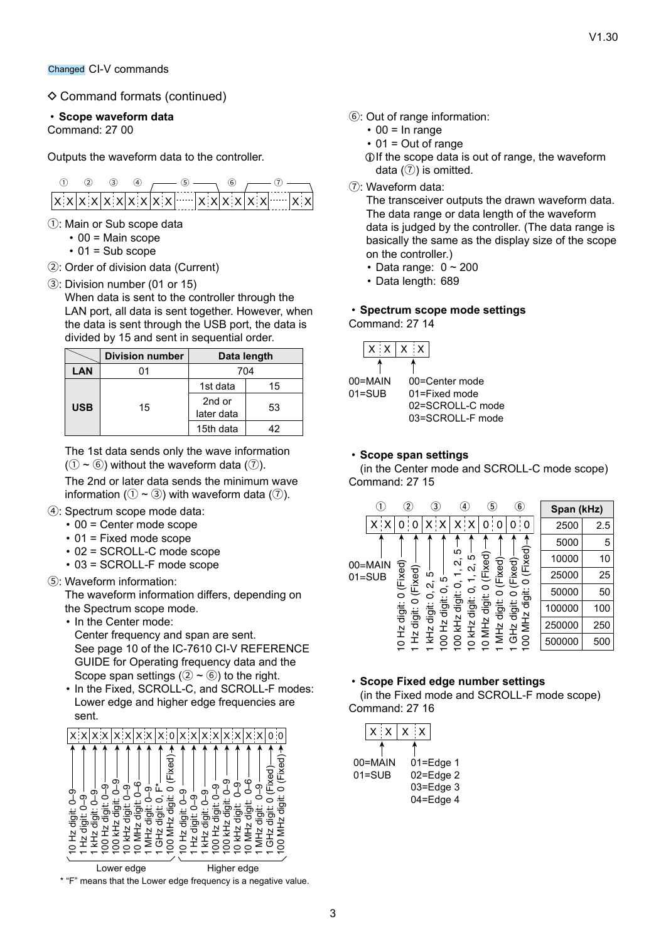$\diamond$  Command formats (continued)

#### • **Scope waveform data**

Command: 27 00

Outputs the waveform data to the controller.



- 1: Main or Sub scope data
	- $\cdot$  00 = Main scope
	- $\cdot$  01 = Sub scope
- 2: Order of division data (Current)
- 3: Division number (01 or 15)

When data is sent to the controller through the LAN port, all data is sent together. However, when the data is sent through the USB port, the data is divided by 15 and sent in sequential order.

|            | <b>Division number</b> | Data length          |    |  |  |
|------------|------------------------|----------------------|----|--|--|
| LAN        | 01                     | 704                  |    |  |  |
| <b>USB</b> |                        | 1st data             | 15 |  |  |
|            | 15                     | 2nd or<br>later data | 53 |  |  |
|            |                        | 15th data            | 12 |  |  |

The 1st data sends only the wave information  $(1) \sim (6)$ ) without the waveform data  $(7)$ ).

The 2nd or later data sends the minimum wave information ( $(1 \sim 3)$ ) with waveform data ( $(7)$ ).

- 4: Spectrum scope mode data:
	- 00 = Center mode scope
	- 01 = Fixed mode scope
	- 02 = SCROLL-C mode scope
	- 03 = SCROLL-F mode scope
- 5: Waveform information:

The waveform information differs, depending on the Spectrum scope mode.

- In the Center mode:
	- Center frequency and span are sent. See page 10 of the IC-7610 CI-V REFERENCE GUIDE for Operating frequency data and the Scope span settings ( $(2 \sim 6)$ ) to the right.
- In the Fixed, SCROLL-C, and SCROLL-F modes: Lower edge and higher edge frequencies are sent.



Lower edge **Higher edge** 

\* "F" means that the Lower edge frequency is a negative value.

- 6: Out of range information:
	- $\cdot$  00 = In range
	- $\cdot$  01 = Out of range
	- LIf the scope data is out of range, the waveform data  $(7)$  is omitted.
- 7: Waveform data:

The transceiver outputs the drawn waveform data. The data range or data length of the waveform data is judged by the controller. (The data range is basically the same as the display size of the scope on the controller.)

- Data range:  $0 \sim 200$
- Data length: 689

#### • **Spectrum scope mode settings** Command: 27 14

| 00=MAIN    |
|------------|
| $01 = SUB$ |

00=Center mode 01=Fixed mode 02=SCROLL-C mode 03=SCROLL-F mode

#### • **Scope span settings**

(in the Center mode and SCROLL-C mode scope) Command: 27 15

|                       |     | $\overline{2}$                           |        | $\bf{(3)}$                                                                                                     |        | $\left( 4\right)$ |                   | 5)     |   | $^\copyright$ | Span (kHz) |     |
|-----------------------|-----|------------------------------------------|--------|----------------------------------------------------------------------------------------------------------------|--------|-------------------|-------------------|--------|---|---------------|------------|-----|
|                       | x x |                                          | 0      | x                                                                                                              | ۰x     | x                 | ۰x                | 0      | 0 | 0<br>0        | 2500       | 2.5 |
|                       |     |                                          |        |                                                                                                                |        |                   |                   | 5000   | 5 |               |            |     |
| 00=MAIN<br>$01 = SUB$ |     |                                          |        |                                                                                                                |        | ю<br>Ν            | Ю<br>$\mathbf{c}$ | Fixed) |   | (Fixed)       | 10000      | 10  |
|                       |     | 0 (Fixed)<br>(Fixed)<br>Ю<br>ഥ<br>Ν<br>0 | Fixed) | (Fixed)                                                                                                        | 25000  | 25                |                   |        |   |               |            |     |
|                       |     |                                          | っ      | digit<br>digit:<br>digit:<br>iti<br>To<br>MH <sub>Z</sub><br><b>DMHZ</b><br>MH <sub>z</sub><br>GH <sub>2</sub> | 50000  | 50                |                   |        |   |               |            |     |
|                       |     | ig<br>To<br>digit:<br>0<br>digit:        | digit: |                                                                                                                |        | 100000            | 100               |        |   |               |            |     |
|                       |     | 0 Hz digit:<br>digit:<br>KH2<br>소        | kHz    |                                                                                                                | 250000 | 250               |                   |        |   |               |            |     |
|                       |     |                                          | 섶      | KH <sub>Z</sub>                                                                                                | 8      | g                 | $\Omega$          |        |   | 8             | 500000     | 500 |

#### • **Scope Fixed edge number settings**

(in the Fixed mode and SCROLL-F mode scope) Command: 27 16

|            | $X$ $X$ $X$ $X$ |  |               |  |
|------------|-----------------|--|---------------|--|
|            |                 |  |               |  |
| 00=MAIN    |                 |  | $01 = Edge 1$ |  |
| $01 = SUB$ |                 |  | 02=Edge 2     |  |
|            |                 |  | 03=Edge 3     |  |
|            |                 |  | 04=Edge 4     |  |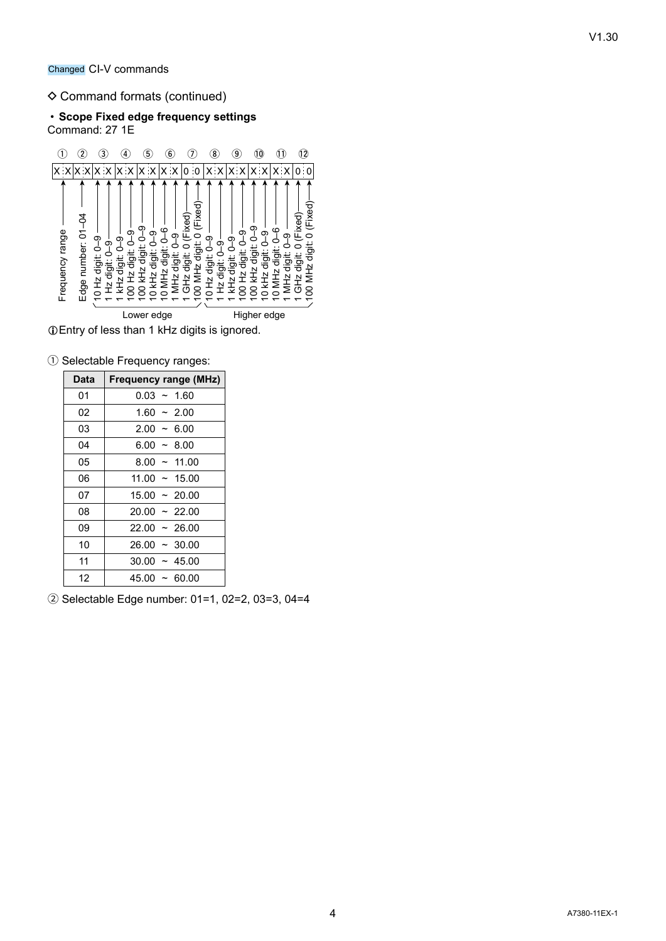#### $\diamond$  Command formats (continued)

#### • **Scope Fixed edge frequency settings** Command: 27 1E



LEntry of less than 1 kHz digits is ignored.

1 Selectable Frequency ranges:

| Data | <b>Frequency range (MHz)</b> |
|------|------------------------------|
| 01   | $0.03 - 1.60$                |
| 02   | $1.60 - 2.00$                |
| 03   | $2.00 - 6.00$                |
| 04   | $6.00 - 8.00$                |
| 05   | $8.00 \sim 11.00$            |
| 06   | $11.00 \sim 15.00$           |
| 07   | $15.00 \sim 20.00$           |
| 08   | $20.00 \sim 22.00$           |
| 09   | $22.00 \sim 26.00$           |
| 10   | $26.00 \sim 30.00$           |
| 11   | $30.00 \sim 45.00$           |
| 12   | $45.00 \sim 60.00$           |

2 Selectable Edge number: 01=1, 02=2, 03=3, 04=4